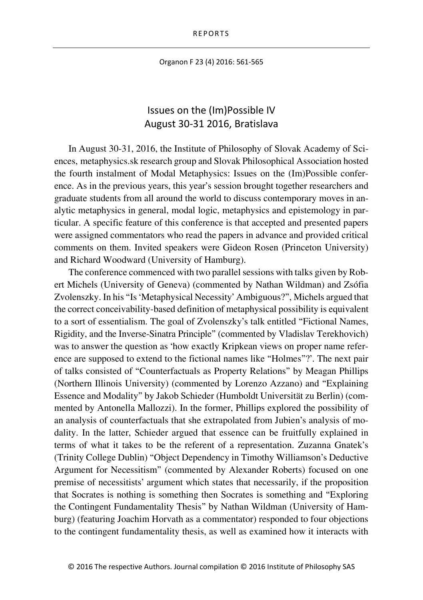Organon F 23 (4) 2016: 561-565

## Issues on the (Im)Possible IV August 30-31 2016, Bratislava

In August 30-31, 2016, the Institute of Philosophy of Slovak Academy of Sciences, metaphysics.sk research group and Slovak Philosophical Association hosted the fourth instalment of Modal Metaphysics: Issues on the (Im)Possible conference. As in the previous years, this year's session brought together researchers and graduate students from all around the world to discuss contemporary moves in analytic metaphysics in general, modal logic, metaphysics and epistemology in particular. A specific feature of this conference is that accepted and presented papers were assigned commentators who read the papers in advance and provided critical comments on them. Invited speakers were Gideon Rosen (Princeton University) and Richard Woodward (University of Hamburg).

The conference commenced with two parallel sessions with talks given by Robert Michels (University of Geneva) (commented by Nathan Wildman) and Zsófia Zvolenszky. In his "Is 'Metaphysical Necessity' Ambiguous?", Michels argued that the correct conceivability-based definition of metaphysical possibility is equivalent to a sort of essentialism. The goal of Zvolenszky's talk entitled "Fictional Names, Rigidity, and the Inverse-Sinatra Principle" (commented by Vladislav Terekhovich) was to answer the question as 'how exactly Kripkean views on proper name reference are supposed to extend to the fictional names like "Holmes"?'. The next pair of talks consisted of "Counterfactuals as Property Relations" by Meagan Phillips (Northern Illinois University) (commented by Lorenzo Azzano) and "Explaining Essence and Modality" by Jakob Schieder (Humboldt Universität zu Berlin) (commented by Antonella Mallozzi). In the former, Phillips explored the possibility of an analysis of counterfactuals that she extrapolated from Jubien's analysis of modality. In the latter, Schieder argued that essence can be fruitfully explained in terms of what it takes to be the referent of a representation. Zuzanna Gnatek's (Trinity College Dublin) "Object Dependency in Timothy Williamson's Deductive Argument for Necessitism" (commented by Alexander Roberts) focused on one premise of necessitists' argument which states that necessarily, if the proposition that Socrates is nothing is something then Socrates is something and "Exploring the Contingent Fundamentality Thesis" by Nathan Wildman (University of Hamburg) (featuring Joachim Horvath as a commentator) responded to four objections to the contingent fundamentality thesis, as well as examined how it interacts with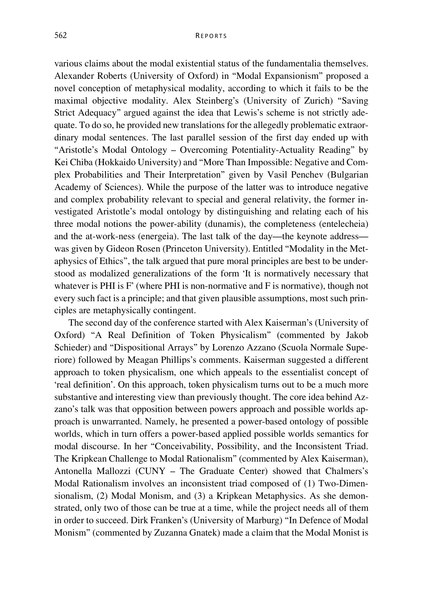various claims about the modal existential status of the fundamentalia themselves. Alexander Roberts (University of Oxford) in "Modal Expansionism" proposed a novel conception of metaphysical modality, according to which it fails to be the maximal objective modality. Alex Steinberg's (University of Zurich) "Saving Strict Adequacy" argued against the idea that Lewis's scheme is not strictly adequate. To do so, he provided new translations for the allegedly problematic extraordinary modal sentences. The last parallel session of the first day ended up with "Aristotle's Modal Ontology – Overcoming Potentiality-Actuality Reading" by Kei Chiba (Hokkaido University) and "More Than Impossible: Negative and Complex Probabilities and Their Interpretation" given by Vasil Penchev (Bulgarian Academy of Sciences). While the purpose of the latter was to introduce negative and complex probability relevant to special and general relativity, the former investigated Aristotle's modal ontology by distinguishing and relating each of his three modal notions the power-ability (dunamis), the completeness (entelecheia) and the at-work-ness (energeia). The last talk of the day—the keynote address was given by Gideon Rosen (Princeton University). Entitled "Modality in the Metaphysics of Ethics", the talk argued that pure moral principles are best to be understood as modalized generalizations of the form 'It is normatively necessary that whatever is PHI is F' (where PHI is non-normative and F is normative), though not every such fact is a principle; and that given plausible assumptions, most such principles are metaphysically contingent.

The second day of the conference started with Alex Kaiserman's (University of Oxford) "A Real Definition of Token Physicalism" (commented by Jakob Schieder) and "Dispositional Arrays" by Lorenzo Azzano (Scuola Normale Superiore) followed by Meagan Phillips's comments. Kaiserman suggested a different approach to token physicalism, one which appeals to the essentialist concept of 'real definition'. On this approach, token physicalism turns out to be a much more substantive and interesting view than previously thought. The core idea behind Azzano's talk was that opposition between powers approach and possible worlds approach is unwarranted. Namely, he presented a power-based ontology of possible worlds, which in turn offers a power-based applied possible worlds semantics for modal discourse. In her "Conceivability, Possibility, and the Inconsistent Triad. The Kripkean Challenge to Modal Rationalism" (commented by Alex Kaiserman), Antonella Mallozzi (CUNY – The Graduate Center) showed that Chalmers's Modal Rationalism involves an inconsistent triad composed of (1) Two-Dimensionalism, (2) Modal Monism, and (3) a Kripkean Metaphysics. As she demonstrated, only two of those can be true at a time, while the project needs all of them in order to succeed. Dirk Franken's (University of Marburg) "In Defence of Modal Monism" (commented by Zuzanna Gnatek) made a claim that the Modal Monist is